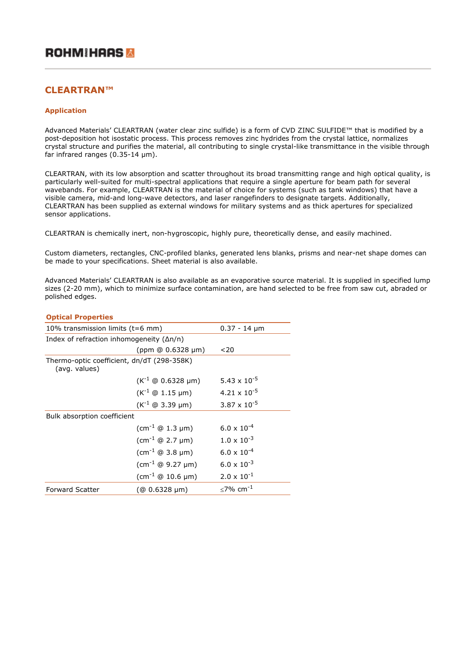# **CLEARTRAN™**

## **Application**

Advanced Materials' CLEARTRAN (water clear zinc sulfide) is a form of CVD ZINC SULFIDE™ that is modified by a post-deposition hot isostatic process. This process removes zinc hydrides from the crystal lattice, normalizes crystal structure and purifies the material, all contributing to single crystal-like transmittance in the visible through far infrared ranges (0.35-14 μm).

CLEARTRAN, with its low absorption and scatter throughout its broad transmitting range and high optical quality, is particularly well-suited for multi-spectral applications that require a single aperture for beam path for several wavebands. For example, CLEARTRAN is the material of choice for systems (such as tank windows) that have a visible camera, mid-and long-wave detectors, and laser rangefinders to designate targets. Additionally, CLEARTRAN has been supplied as external windows for military systems and as thick apertures for specialized sensor applications.

CLEARTRAN is chemically inert, non-hygroscopic, highly pure, theoretically dense, and easily machined.

Custom diameters, rectangles, CNC-profiled blanks, generated lens blanks, prisms and near-net shape domes can be made to your specifications. Sheet material is also available.

Advanced Materials' CLEARTRAN is also available as an evaporative source material. It is supplied in specified lump sizes (2-20 mm), which to minimize surface contamination, are hand selected to be free from saw cut, abraded or polished edges.

| <b>Optical Properties</b>                                   |                                                           |                                |  |
|-------------------------------------------------------------|-----------------------------------------------------------|--------------------------------|--|
| 10% transmission limits $(t=6$ mm)                          |                                                           | $0.37 - 14 \mu m$              |  |
| Index of refraction inhomogeneity $(\Delta n/n)$            |                                                           |                                |  |
|                                                             | $(ppm \ @ 0.6328 \mu m)$                                  | ~120                           |  |
| Thermo-optic coefficient, dn/dT (298-358K)<br>(avg. values) |                                                           |                                |  |
|                                                             | $(K^{-1} \oplus 0.6328 \mu m)$                            | 5.43 $\times$ 10 <sup>-5</sup> |  |
|                                                             | $(K^{-1} \oplus 1.15 \,\mu m)$                            | $4.21 \times 10^{-5}$          |  |
|                                                             | $(K^{-1} \oplus 3.39 \mu m)$                              | $3.87 \times 10^{-5}$          |  |
| Bulk absorption coefficient                                 |                                                           |                                |  |
|                                                             | $\text{(cm}^{-1} \oplus 1.3 \text{ }\mu\text{m}$          | $6.0 \times 10^{-4}$           |  |
|                                                             | $\text{(cm}^{-1} \oplus 2.7 \text{ }\mu\text{m} \text{)}$ | $1.0 \times 10^{-3}$           |  |
|                                                             | $\text{(cm}^{-1} \oplus 3.8 \text{ }\mu\text{m})$         | $6.0 \times 10^{-4}$           |  |
|                                                             | $\text{(cm}^{-1} \oplus 9.27 \text{ }\mu\text{m}$         | $6.0 \times 10^{-3}$           |  |
|                                                             | $\text{(cm}^{-1} \oplus 10.6 \text{ µm})$                 | $2.0 \times 10^{-1}$           |  |
| <b>Forward Scatter</b>                                      | $(@0.6328 \mu m)$                                         | $<$ 7% cm <sup>-1</sup>        |  |
|                                                             |                                                           |                                |  |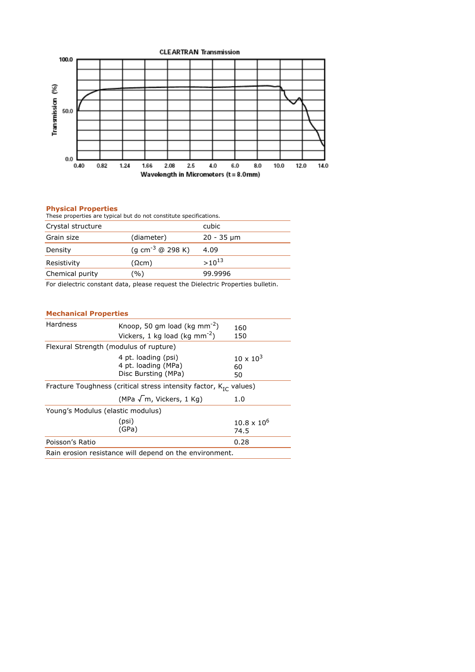

## **Physical Properties**

| These properties are typical but do not constitute specifications. |                              |            |  |
|--------------------------------------------------------------------|------------------------------|------------|--|
| Crystal structure                                                  |                              | cubic      |  |
| Grain size                                                         | (diameter)                   | 20 - 35 µm |  |
| Density                                                            | (g cm <sup>-3</sup> @ 298 K) | 4.09       |  |
| Resistivity                                                        | (Ωcm)                        | $>10^{13}$ |  |

For dielectric constant data, please request the Dielectric Properties bulletin.

Chemical purity (%) 99.9996

## **Mechanical Properties**

| Hardness                                                               | Knoop, 50 qm load (kg mm <sup>-2</sup> )<br>Vickers, 1 kg load (kg mm <sup>-2</sup> ) | 160<br>150                     |
|------------------------------------------------------------------------|---------------------------------------------------------------------------------------|--------------------------------|
| Flexural Strength (modulus of rupture)                                 |                                                                                       |                                |
|                                                                        | 4 pt. loading (psi)<br>4 pt. loading (MPa)<br>Disc Bursting (MPa)                     | $10 \times 10^{3}$<br>60<br>50 |
| Fracture Toughness (critical stress intensity factor, $K_{1C}$ values) |                                                                                       |                                |
|                                                                        | (MPa $\sqrt{m}$ , Vickers, 1 Kg)                                                      | 1.0                            |
| Young's Modulus (elastic modulus)                                      |                                                                                       |                                |
|                                                                        | (psi)<br>(GPa)                                                                        | $10.8 \times 10^6$<br>74.5     |
| Poisson's Ratio                                                        |                                                                                       | 0.28                           |
| Rain erosion resistance will depend on the environment.                |                                                                                       |                                |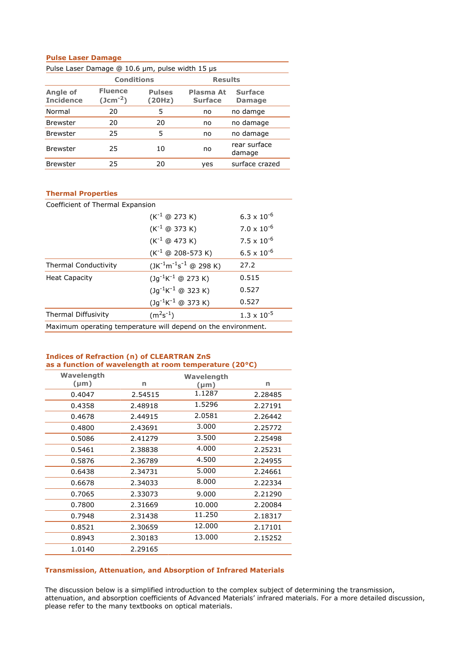## **Pulse Laser Damage**

| Pulse Laser Damage @ 10.6 µm, pulse width 15 µs |                                |                         |                             |                                 |
|-------------------------------------------------|--------------------------------|-------------------------|-----------------------------|---------------------------------|
|                                                 | Conditions                     |                         | <b>Results</b>              |                                 |
| Angle of<br><b>Incidence</b>                    | <b>Fluence</b><br>$(Jcm^{-2})$ | <b>Pulses</b><br>(20Hz) | Plasma At<br><b>Surface</b> | <b>Surface</b><br><b>Damage</b> |
| Normal                                          | 20                             | 5                       | no                          | no damge                        |
| <b>Brewster</b>                                 | 20                             | 20                      | no                          | no damage                       |
| <b>Brewster</b>                                 | 25                             | 5                       | no                          | no damage                       |
| <b>Brewster</b>                                 | 25                             | 10                      | no                          | rear surface<br>damage          |
| <b>Brewster</b>                                 | 25                             | 20                      | yes                         | surface crazed                  |

## **Thermal Properties**

| Coefficient of Thermal Expansion                              |                                                 |                      |  |
|---------------------------------------------------------------|-------------------------------------------------|----------------------|--|
|                                                               | $(K^{-1} \oplus 273 K)$<br>$6.3 \times 10^{-6}$ |                      |  |
|                                                               | $(K^{-1} \oplus 373 K)$                         | $7.0 \times 10^{-6}$ |  |
|                                                               | $(K^{-1} \oplus 473 K)$                         | $7.5 \times 10^{-6}$ |  |
|                                                               | $(K^{-1} \oplus 208 - 573 K)$                   | $6.5 \times 10^{-6}$ |  |
| <b>Thermal Conductivity</b>                                   | $(JK^{-1}m^{-1}s^{-1} \oplus 298 K)$            | 27.2                 |  |
| <b>Heat Capacity</b>                                          | $(Jq^{-1}K^{-1} \oplus 273 K)$                  | 0.515                |  |
|                                                               | $(Jq^{-1}K^{-1} \oplus 323 K)$                  | 0.527                |  |
|                                                               | $(Jg^{-1}K^{-1} \oplus 373 K)$                  | 0.527                |  |
| <b>Thermal Diffusivity</b>                                    | $(m2s-1)$                                       | $1.3 \times 10^{-5}$ |  |
| Maximum operating temperature will depend on the environment. |                                                 |                      |  |

#### **Indices of Refraction (n) of CLEARTRAN ZnS as a function of wavelength at room temperature (20°C)**

| Wavelength |         | Wavelength |         |
|------------|---------|------------|---------|
| $(\mu m)$  | n       | $(\mu m)$  | n       |
| 0.4047     | 2.54515 | 1.1287     | 2.28485 |
| 0.4358     | 2.48918 | 1.5296     | 2.27191 |
| 0.4678     | 2.44915 | 2.0581     | 2.26442 |
| 0.4800     | 2.43691 | 3.000      | 2.25772 |
| 0.5086     | 2.41279 | 3.500      | 2.25498 |
| 0.5461     | 2.38838 | 4.000      | 2.25231 |
| 0.5876     | 2.36789 | 4.500      | 2.24955 |
| 0.6438     | 2.34731 | 5.000      | 2.24661 |
| 0.6678     | 2.34033 | 8.000      | 2.22334 |
| 0.7065     | 2.33073 | 9.000      | 2.21290 |
| 0.7800     | 2.31669 | 10.000     | 2.20084 |
| 0.7948     | 2.31438 | 11.250     | 2.18317 |
| 0.8521     | 2.30659 | 12.000     | 2.17101 |
| 0.8943     | 2.30183 | 13.000     | 2.15252 |
| 1.0140     | 2.29165 |            |         |

## **Transmission, Attenuation, and Absorption of Infrared Materials**

The discussion below is a simplified introduction to the complex subject of determining the transmission, attenuation, and absorption coefficients of Advanced Materials' infrared materials. For a more detailed discussion, please refer to the many textbooks on optical materials.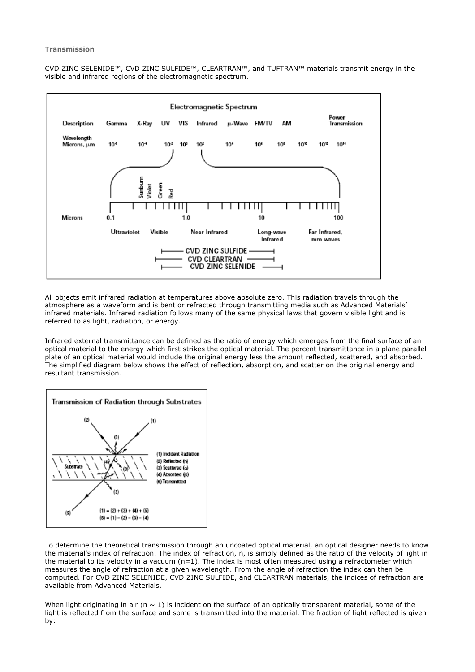#### **Transmission**

CVD ZINC SELENIDE™, CVD ZINC SULFIDE™, CLEARTRAN™, and TUFTRAN™ materials transmit energy in the visible and infrared regions of the electromagnetic spectrum.



All objects emit infrared radiation at temperatures above absolute zero. This radiation travels through the atmosphere as a waveform and is bent or refracted through transmitting media such as Advanced Materials' infrared materials. Infrared radiation follows many of the same physical laws that govern visible light and is referred to as light, radiation, or energy.

Infrared external transmittance can be defined as the ratio of energy which emerges from the final surface of an optical material to the energy which first strikes the optical material. The percent transmittance in a plane parallel plate of an optical material would include the original energy less the amount reflected, scattered, and absorbed. The simplified diagram below shows the effect of reflection, absorption, and scatter on the original energy and resultant transmission.



To determine the theoretical transmission through an uncoated optical material, an optical designer needs to know the material's index of refraction. The index of refraction, n, is simply defined as the ratio of the velocity of light in the material to its velocity in a vacuum  $(n=1)$ . The index is most often measured using a refractometer which measures the angle of refraction at a given wavelength. From the angle of refraction the index can then be computed. For CVD ZINC SELENIDE, CVD ZINC SULFIDE, and CLEARTRAN materials, the indices of refraction are available from Advanced Materials.

When light originating in air (n  $\sim$  1) is incident on the surface of an optically transparent material, some of the light is reflected from the surface and some is transmitted into the material. The fraction of light reflected is given by: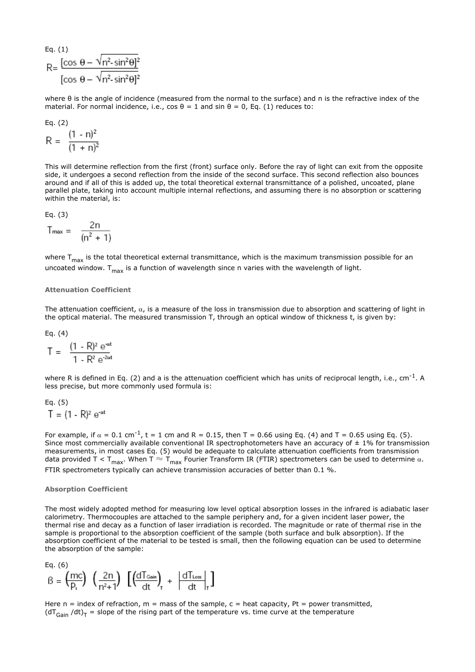Eq. (1)  
\nR=
$$
\frac{[\cos \theta - \sqrt{n^2 \cdot \sin^2 \theta]^2}}{[\cos \theta - \sqrt{n^2 \cdot \sin^2 \theta]^2}}
$$

where θ is the angle of incidence (measured from the normal to the surface) and n is the refractive index of the material. For normal incidence, i.e.,  $\cos \theta = 1$  and  $\sin \theta = 0$ , Eq. (1) reduces to:

$$
Eq. (2)
$$

$$
R = \frac{(1 - n)^2}{(1 + n)^2}
$$

This will determine reflection from the first (front) surface only. Before the ray of light can exit from the opposite side, it undergoes a second reflection from the inside of the second surface. This second reflection also bounces around and if all of this is added up, the total theoretical external transmittance of a polished, uncoated, plane parallel plate, taking into account multiple internal reflections, and assuming there is no absorption or scattering within the material, is:

$$
Eq. (3)
$$

$$
T_{\text{max}} = \frac{2n}{(n^2 + 1)}
$$

where T<sub>max</sub> is the total theoretical external transmittance, which is the maximum transmission possible for an uncoated window.  $T_{\text{max}}$  is a function of wavelength since n varies with the wavelength of light.

#### **Attenuation Coefficient**

The attenuation coefficient,  $\alpha$ , is a measure of the loss in transmission due to absorption and scattering of light in the optical material. The measured transmission T, through an optical window of thickness t, is given by:

Eq. (4)

$$
T = \frac{(1 - R)^2 e^{\alpha t}}{1 - R^2 e^{2\alpha t}}
$$

where R is defined in Eq. (2) and a is the attenuation coefficient which has units of reciprocal length, i.e., cm<sup>-1</sup>. A less precise, but more commonly used formula is:

Eq. (5)  $T = (1 - R)^2 e^{\alpha t}$ 

For example, if  $\alpha = 0.1$  cm<sup>-1</sup>, t = 1 cm and R = 0.15, then T = 0.66 using Eq. (4) and T = 0.65 using Eq. (5). Since most commercially available conventional IR spectrophotometers have an accuracy of  $\pm$  1% for transmission measurements, in most cases Eq. (5) would be adequate to calculate attenuation coefficients from transmission data provided T < T<sub>max</sub>. When T  $\approx$  T<sub>max</sub> Fourier Transform IR (FTIR) spectrometers can be used to determine  $\alpha$ . FTIR spectrometers typically can achieve transmission accuracies of better than 0.1 %.

#### **Absorption Coefficient**

The most widely adopted method for measuring low level optical absorption losses in the infrared is adiabatic laser calorimetry. Thermocouples are attached to the sample periphery and, for a given incident laser power, the thermal rise and decay as a function of laser irradiation is recorded. The magnitude or rate of thermal rise in the sample is proportional to the absorption coefficient of the sample (both surface and bulk absorption). If the absorption coefficient of the material to be tested is small, then the following equation can be used to determine the absorption of the sample:

Eq. (6)  
\n
$$
B = \left(\frac{mc}{p_t}\right) \left(\frac{2n}{n^2+1}\right) \left[\left(\frac{dT_{\text{Gain}}}{dt}\right)_r + \left|\frac{dT_{\text{loss}}}{dt}\right|_r\right]
$$

Here  $n =$  index of refraction,  $m =$  mass of the sample,  $c =$  heat capacity, Pt = power transmitted, ( $dT_{Gain}$ /dt)<sub>T</sub> = slope of the rising part of the temperature vs. time curve at the temperature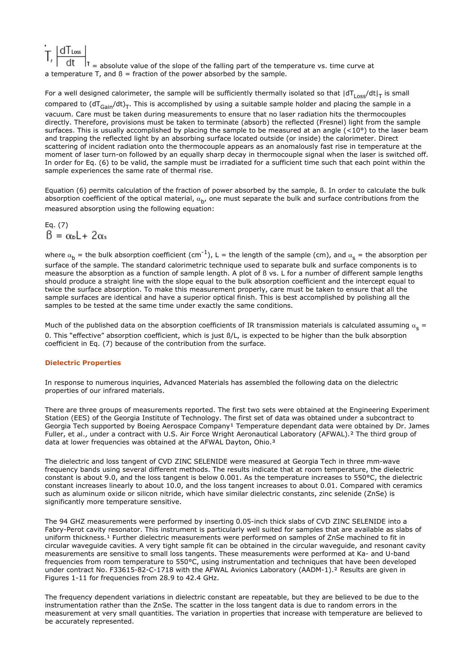$d$  Loss  $|t|$  = absolute value of the slope of the falling part of the temperature vs. time curve at a temperature T, and  $\beta$  = fraction of the power absorbed by the sample.

For a well designed calorimeter, the sample will be sufficiently thermally isolated so that  $|dT_{loss}/dt|_T$  is small compared to  $(dT_{Gain}/dt)$ . This is accomplished by using a suitable sample holder and placing the sample in a vacuum. Care must be taken during measurements to ensure that no laser radiation hits the thermocouples directly. Therefore, provisions must be taken to terminate (absorb) the reflected (Fresnel) light from the sample surfaces. This is usually accomplished by placing the sample to be measured at an angle  $(<10°)$  to the laser beam and trapping the reflected light by an absorbing surface located outside (or inside) the calorimeter. Direct scattering of incident radiation onto the thermocouple appears as an anomalously fast rise in temperature at the moment of laser turn-on followed by an equally sharp decay in thermocouple signal when the laser is switched off. In order for Eq. (6) to be valid, the sample must be irradiated for a sufficient time such that each point within the sample experiences the same rate of thermal rise.

Equation (6) permits calculation of the fraction of power absorbed by the sample, ß. In order to calculate the bulk absorption coefficient of the optical material,  $\alpha_b$ , one must separate the bulk and surface contributions from the measured absorption using the following equation:

Eq. (7)<br> $\beta = \alpha_b L + 2\alpha_s$ 

where  $\alpha_b$  = the bulk absorption coefficient (cm<sup>-1</sup>), L = the length of the sample (cm), and  $\alpha_c$  = the absorption per surface of the sample. The standard calorimetric technique used to separate bulk and surface components is to measure the absorption as a function of sample length. A plot of ß vs. L for a number of different sample lengths should produce a straight line with the slope equal to the bulk absorption coefficient and the intercept equal to twice the surface absorption. To make this measurement properly, care must be taken to ensure that all the sample surfaces are identical and have a superior optical finish. This is best accomplished by polishing all the samples to be tested at the same time under exactly the same conditions.

Much of the published data on the absorption coefficients of IR transmission materials is calculated assuming  $\alpha_{s} =$ 0. This "effective" absorption coefficient, which is just ß/L, is expected to be higher than the bulk absorption coefficient in Eq. (7) because of the contribution from the surface.

## **Dielectric Properties**

In response to numerous inquiries, Advanced Materials has assembled the following data on the dielectric properties of our infrared materials.

There are three groups of measurements reported. The first two sets were obtained at the Engineering Experiment Station (EES) of the Georgia Institute of Technology. The first set of data was obtained under a subcontract to Georgia Tech supported by Boeing Aerospace Company<sup>1</sup> Temperature dependant data were obtained by Dr. James Fuller, et al., under a contract with U.S. Air Force Wright Aeronautical Laboratory (AFWAL).² The third group of data at lower frequencies was obtained at the AFWAL Dayton, Ohio.<sup>3</sup>

The dielectric and loss tangent of CVD ZINC SELENIDE were measured at Georgia Tech in three mm-wave frequency bands using several different methods. The results indicate that at room temperature, the dielectric constant is about 9.0, and the loss tangent is below 0.001. As the temperature increases to 550°C, the dielectric constant increases linearly to about 10.0, and the loss tangent increases to about 0.01. Compared with ceramics such as aluminum oxide or silicon nitride, which have similar dielectric constants, zinc selenide (ZnSe) is significantly more temperature sensitive.

The 94 GHZ measurements were performed by inserting 0.05-inch thick slabs of CVD ZINC SELENIDE into a Fabry-Perot cavity resonator. This instrument is particularly well suited for samples that are available as slabs of uniform thickness.<sup>1</sup> Further dielectric measurements were performed on samples of ZnSe machined to fit in circular waveguide cavities. A very tight sample fit can be obtained in the circular waveguide, and resonant cavity measurements are sensitive to small loss tangents. These measurements were performed at Ka- and U-band frequencies from room temperature to 550°C, using instrumentation and techniques that have been developed under contract No. F33615-82-C-1718 with the AFWAL Avionics Laboratory (AADM-1).² Results are given in Figures 1-11 for frequencies from 28.9 to 42.4 GHz.

The frequency dependent variations in dielectric constant are repeatable, but they are believed to be due to the instrumentation rather than the ZnSe. The scatter in the loss tangent data is due to random errors in the measurement at very small quantities. The variation in properties that increase with temperature are believed to be accurately represented.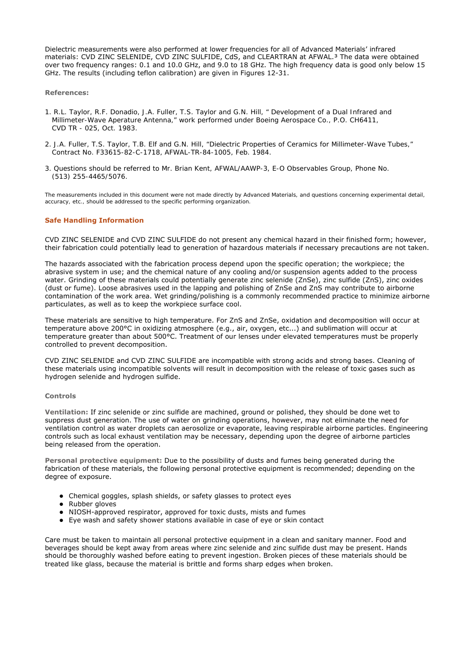Dielectric measurements were also performed at lower frequencies for all of Advanced Materials' infrared materials: CVD ZINC SELENIDE, CVD ZINC SULFIDE, CdS, and CLEARTRAN at AFWAL.<sup>3</sup> The data were obtained over two frequency ranges: 0.1 and 10.0 GHz, and 9.0 to 18 GHz. The high frequency data is good only below 15 GHz. The results (including teflon calibration) are given in Figures 12-31.

#### **References:**

- *1. R.L. Taylor, R.F. Donadio, J.A. Fuller, T.S. Taylor and G.N. Hill, " Development of a Dual Infrared and Millimeter-Wave Aperature Antenna," work performed under Boeing Aerospace Co., P.O. CH6411, CVD TR - 025, Oct. 1983.*
- *2. J.A. Fuller, T.S. Taylor, T.B. Elf and G.N. Hill, "Dielectric Properties of Ceramics for Millimeter-Wave Tubes," Contract No. F33615-82-C-1718, AFWAL-TR-84-1005, Feb. 1984.*
- *3. Questions should be referred to Mr. Brian Kent, AFWAL/AAWP-3, E-O Observables Group, Phone No. (513) 255-4465/5076.*

*The measurements included in this document were not made directly by Advanced Materials, and questions concerning experimental detail, accuracy, etc., should be addressed to the specific performing organization.*

## **Safe Handling Information**

CVD ZINC SELENIDE and CVD ZINC SULFIDE do not present any chemical hazard in their finished form; however, their fabrication could potentially lead to generation of hazardous materials if necessary precautions are not taken.

The hazards associated with the fabrication process depend upon the specific operation; the workpiece; the abrasive system in use; and the chemical nature of any cooling and/or suspension agents added to the process water. Grinding of these materials could potentially generate zinc selenide (ZnSe), zinc sulfide (ZnS), zinc oxides (dust or fume). Loose abrasives used in the lapping and polishing of ZnSe and ZnS may contribute to airborne contamination of the work area. Wet grinding/polishing is a commonly recommended practice to minimize airborne particulates, as well as to keep the workpiece surface cool.

These materials are sensitive to high temperature. For ZnS and ZnSe, oxidation and decomposition will occur at temperature above 200°C in oxidizing atmosphere (e.g., air, oxygen, etc...) and sublimation will occur at temperature greater than about 500°C. Treatment of our lenses under elevated temperatures must be properly controlled to prevent decomposition.

CVD ZINC SELENIDE and CVD ZINC SULFIDE are incompatible with strong acids and strong bases. Cleaning of these materials using incompatible solvents will result in decomposition with the release of toxic gases such as hydrogen selenide and hydrogen sulfide.

#### **Controls**

**Ventilation:** If zinc selenide or zinc sulfide are machined, ground or polished, they should be done wet to suppress dust generation. The use of water on grinding operations, however, may not eliminate the need for ventilation control as water droplets can aerosolize or evaporate, leaving respirable airborne particles. Engineering controls such as local exhaust ventilation may be necessary, depending upon the degree of airborne particles being released from the operation.

**Personal protective equipment:** Due to the possibility of dusts and fumes being generated during the fabrication of these materials, the following personal protective equipment is recommended; depending on the degree of exposure.

- Chemical goggles, splash shields, or safety glasses to protect eyes
- Rubber gloves
- NIOSH-approved respirator, approved for toxic dusts, mists and fumes
- Eye wash and safety shower stations available in case of eye or skin contact

Care must be taken to maintain all personal protective equipment in a clean and sanitary manner. Food and beverages should be kept away from areas where zinc selenide and zinc sulfide dust may be present. Hands should be thoroughly washed before eating to prevent ingestion. Broken pieces of these materials should be treated like glass, because the material is brittle and forms sharp edges when broken.